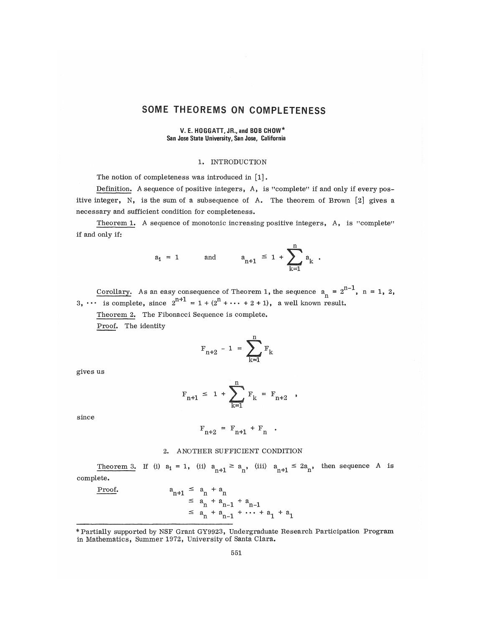# SOME THEOREMS ON COMPLETENESS

## V. E. HOGGATT, JR., and BOB CHOW\* San Jose State University, Sen Jose, California

# 1. INTRODUCTION

The notion of completeness was introduced in [1].

Definition. A sequence of positive integers, A, is "complete" if and only if every positive integer, N, is the sum of a subsequence of A. The theorem of Brown  $[2]$  gives a necessary and sufficient condition for completeness,

Theorem 1. A sequence of monotonic increasing positive integers, A, is "complete" if and only if:

$$
a_1 = 1
$$
 and  $a_{n+1} \le 1 + \sum_{k=1}^{n} a_k$ .

Corollary. As an easy consequence of Theorem 1, the sequence  $a_n = 2^{n-1}$ ,  $n = 1, 2$ , 3, ••• is complete, since  $2^{n+1} = 1 + (2^n + \cdots + 2 + 1)$ , a well known result.

Theorem 2. The Fibonacci Sequence is complete. Proof. The identity

$$
F_{n+2} - 1 = \sum_{k=1}^{n} F_k
$$

gives us

$$
F_{n+1} \leq 1 + \sum_{k=1}^{n} F_k = F_{n+2} ,
$$

since

$$
\mathbf{F}_{n+2} = \mathbf{F}_{n+1} + \mathbf{F}_n .
$$

#### 2, ANOTHER SUFFICIENT CONDITION

Theorem 3. If (i)  $a_1 = 1$ , (ii)  $a_{n+1} \ge a_n$ , (iii)  $a_{n+1} \le 2a_n$ , then sequence A is complete,

Proof.  
\n
$$
a_{n+1} \leq a_n + a_n
$$
\n
$$
\leq a_n + a_{n-1} + a_{n-1}
$$
\n
$$
\leq a_n + a_{n-1} + \dots + a_1 + a_1
$$

<sup>\*</sup> Partially supported by NSF Grant GY9923, Undergraduate Research Participation Program in Mathematics, Summer 1972, University of Santa Clara.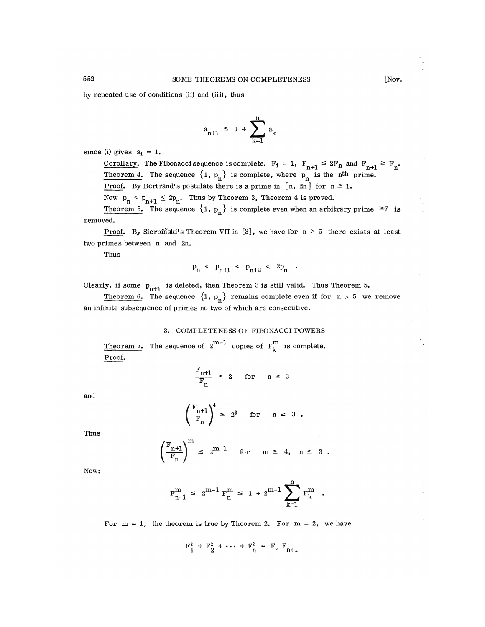by repeated use of conditions (ii) and (iii), thus

$$
a_{n+1} \leq 1 + \sum_{k=1}^{n} a_k
$$

since (i) gives  $a_1 = 1$ .

Corollary. The Fibonacci sequence is complete.  $F_1 = 1$ ,  $F_{n+1} \leq 2F_n$  and  $F_{n+1} \geq F_n$ . Theorem 4. The sequence  $\{1, p_n\}$  is complete, where  $p_n$  is the n<sup>th</sup> prime. **Proof.** By Bertrand's postulate there is a prime in  $[n, 2n]$  for  $n \ge 1$ .

Now  $p_n < p_{n+1} \leq 2p_n$ . Thus by Theorem 3, Theorem 4 is proved.

Theorem 5. The sequence  $\{1, p_n\}$  is complete even when an arbitrary prime  $\geq 7$  is removed.

Proof. By Sierpinski's Theorem VII in  $[3]$ , we have for  $n > 5$  there exists at least two primes between  $n$  and  $2n$ .

Thus

$$
p_n \le p_{n+1} \le p_{n+2} \le 2p_n
$$

Clearly, if some  $p_{n+1}$  is deleted, then Theorem 3 is still valid. Thus Theorem 5.

Theorem 6. The sequence  $\{1, p_n\}$  remains complete even if for  $n > 5$  we remove an infinite subsequence of primes no two of which are consecutive.

## 3. COMPLETENESS OF FIBONACCI POWERS

Theorem 7. The sequence of  $2^{m-1}$  copies of  $F_k^m$  is complete. Proof.

$$
\frac{F_{n+1}}{F_n} \le 2 \quad \text{for} \quad n \ge 3
$$

and

$$
\left(\frac{F_{n+1}}{F_n}\right)^4 \leq 2^3 \quad \text{for} \quad n \geq 3.
$$

Thus

$$
\left(\frac{F_{n+1}}{F_n}\right)^m \leq 2^{m-1} \quad \text{for} \quad m \geq 4, \quad n \geq 3.
$$

Now:

$$
F_{n+1}^{m} \leq 2^{m-1} F_{n}^{m} \leq 1 + 2^{m-1} \sum_{k=1}^{n} F_{k}^{m}
$$

For  $m = 1$ , the theorem is true by Theorem 2. For  $m = 2$ , we have

 $F_1^2 + F_2^2 + \cdots + F_n^2 = F_n F_{n+1}$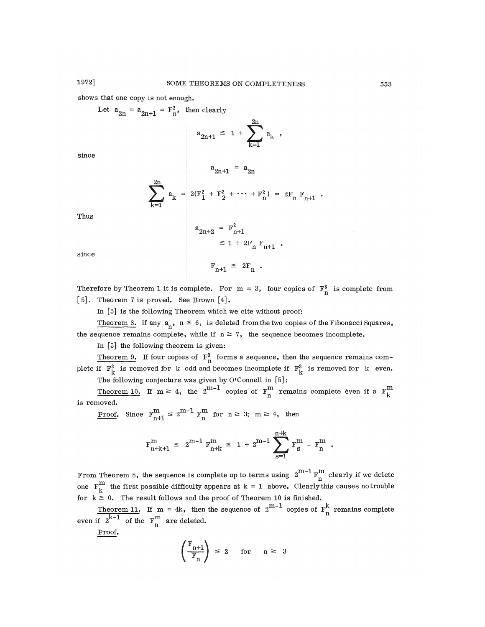shows that one copy is not enough.

Let 
$$
a_{2n} = a_{2n+1} = F_n^2
$$
, then clearly  

$$
a_{2n+1} \leq 1 + \sum_{k=1}^{2n} a_k
$$

since

$$
\mathbf{a}_{2n+1} = \mathbf{a}_{2n}
$$

$$
\sum_{k=1}^{2n} a_k = 2(F_1^2 + F_2^2 + \cdots + F_n^2) = 2F_n F_{n+1}
$$

Thus

$$
a_{2n+2} = F_{n+1}^{2}
$$
  
 
$$
\leq 1 + 2F_n F_{n+1}
$$

since

$$
F_{n+1} \leq 2F_n.
$$

Therefore by Theorem 1 it is complete. For  $m = 3$ , four copies of  $F_n^3$  is complete from  $[5]$ . Theorem 7 is proved. See Brown  $[4]$ .

In [5] is the following Theorem which we cite without proof:

Theorem 8. If any  $a_n$ ,  $n \le 6$ , is deleted from the two copies of the Fibonacci Squares, the sequence remains complete, while if  $n \ge 7$ , the sequence becomes incomplete.

In [5] the following theorem is given:

Theorem 9. If four copies of  $F_n^3$  forms a sequence, then the sequence remains complete if  $F_k^3$  is removed for k odd and becomes incomplete if  $F_k^3$  is removed for k even.

The following conjecture was given by O'Connell in  $[5]$ :

Theorem 10. If  $m \geq 4$ , the 2<sup>11-1</sup> copies of  $F_{\rm n}^{\rm m}$  remains complete even if a  $F_{\rm p}^{\rm n}$ is removed.

<u>Proof</u>. Since  $F_{n+1}^m \leq 2^{m-1} F_n^m$  for  $n \geq 3$ ;  $m \geq 4$ , then

$$
F_{n+k+1}^{m} \leq 2^{m-1} F_{n+k}^{m} \leq 1 + 2^{m-1} \sum_{s=1}^{n+k} F_{s}^{m} - F_{n}^{m}
$$

From Theorem 8, the sequence is complete up to terms using  $2^{n-1} F_{n}^{n}$  clearly if we delete one  $F_{1r}^{m}$  the first possible difficulty appears at  $k = 1$  above. Clearly this causes no trouble for  $k \geq 0$ . The result follows and the proof of Theorem 10 is finished.

Theorem 11. If m = 4k, then the sequence of  $2^{n-1}$  copies of  $F_n^{\alpha}$  remains complete even if  $2^{n-1}$  of the  $F_{n}^{m}$  are deleted.

Proof.

$$
\left(\frac{\mathrm{F}_{n+1}}{\mathrm{F}_{n}}\right) \leq 2 \quad \text{for} \quad n \geq 3
$$